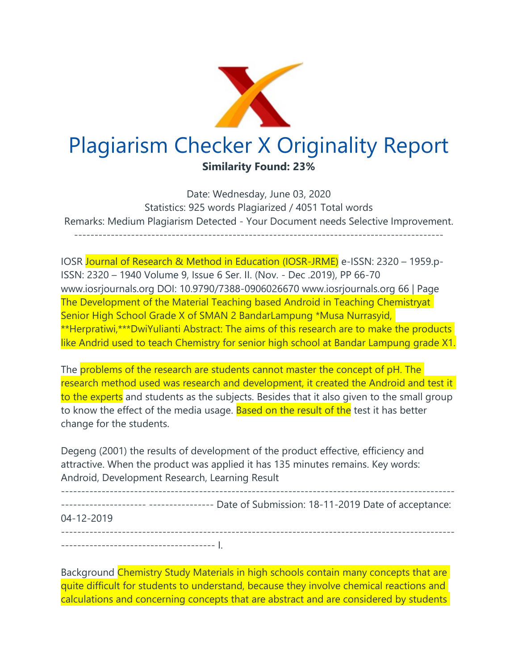

Date: Wednesday, June 03, 2020 Statistics: 925 words Plagiarized / 4051 Total words Remarks: Medium Plagiarism Detected - Your Document needs Selective Improvement. -------------------------------------------------------------------------------------------

IOSR Journal of Research & Method in Education (IOSR-JRME) e-ISSN: 2320 – 1959.p-ISSN: 2320 – 1940 Volume 9, Issue 6 Ser. II. (Nov. - Dec .2019), PP 66-70 www.iosrjournals.org DOI: 10.9790/7388-0906026670 www.iosrjournals.org 66 | Page The Development of the Material Teaching based Android in Teaching Chemistryat Senior High School Grade X of SMAN 2 BandarLampung \*Musa Nurrasyid, \*\*Herpratiwi,\*\*\*DwiYulianti Abstract: The aims of this research are to make the products like Andrid used to teach Chemistry for senior high school at Bandar Lampung grade X1.

The problems of the research are students cannot master the concept of pH. The research method used was research and development, it created the Android and test it to the experts and students as the subjects. Besides that it also given to the small group to know the effect of the media usage. Based on the result of the test it has better change for the students.

Degeng (2001) the results of development of the product effective, efficiency and attractive. When the product was applied it has 135 minutes remains. Key words: Android, Development Research, Learning Result

------------------------------------------------------------------------------------------------- --------------------- ---------------- Date of Submission: 18-11-2019 Date of acceptance: 04-12-2019 ------------------------------------------------------------------------------------------------- -------------------------------------- I.

Background Chemistry Study Materials in high schools contain many concepts that are quite difficult for students to understand, because they involve chemical reactions and calculations and concerning concepts that are abstract and are considered by students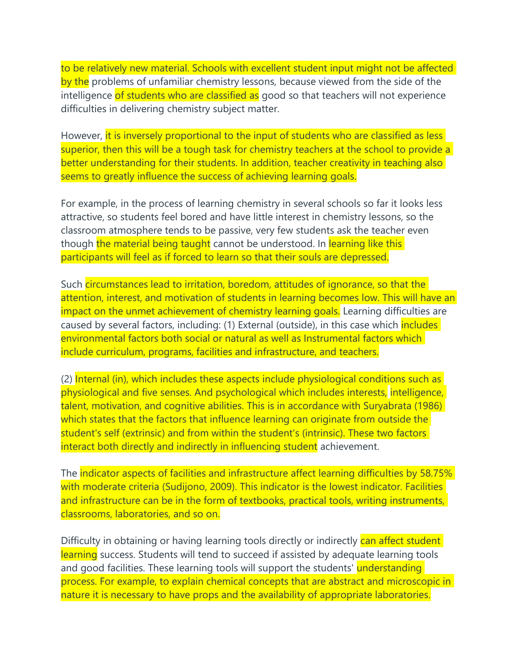to be relatively new material. Schools with excellent student input might not be affected by the problems of unfamiliar chemistry lessons, because viewed from the side of the intelligence of students who are classified as good so that teachers will not experience difficulties in delivering chemistry subject matter.

However, it is inversely proportional to the input of students who are classified as less superior, then this will be a tough task for chemistry teachers at the school to provide a better understanding for their students. In addition, teacher creativity in teaching also seems to greatly influence the success of achieving learning goals.

For example, in the process of learning chemistry in several schools so far it looks less attractive, so students feel bored and have little interest in chemistry lessons, so the classroom atmosphere tends to be passive, very few students ask the teacher even though the material being taught cannot be understood. In learning like this participants will feel as if forced to learn so that their souls are depressed.

Such circumstances lead to irritation, boredom, attitudes of ignorance, so that the attention, interest, and motivation of students in learning becomes low. This will have an impact on the unmet achievement of chemistry learning goals. Learning difficulties are caused by several factors, including: (1) External (outside), in this case which *includes* environmental factors both social or natural as well as Instrumental factors which include curriculum, programs, facilities and infrastructure, and teachers.

(2) Internal (in), which includes these aspects include physiological conditions such as physiological and five senses. And psychological which includes interests, intelligence, talent, motivation, and cognitive abilities. This is in accordance with Suryabrata (1986) which states that the factors that influence learning can originate from outside the student's self (extrinsic) and from within the student's (intrinsic). These two factors interact both directly and indirectly in influencing student achievement.

The indicator aspects of facilities and infrastructure affect learning difficulties by 58.75% with moderate criteria (Sudijono, 2009). This indicator is the lowest indicator. Facilities and infrastructure can be in the form of textbooks, practical tools, writing instruments, classrooms, laboratories, and so on.

Difficulty in obtaining or having learning tools directly or indirectly can affect student learning success. Students will tend to succeed if assisted by adequate learning tools and good facilities. These learning tools will support the students' understanding process. For example, to explain chemical concepts that are abstract and microscopic in nature it is necessary to have props and the availability of appropriate laboratories.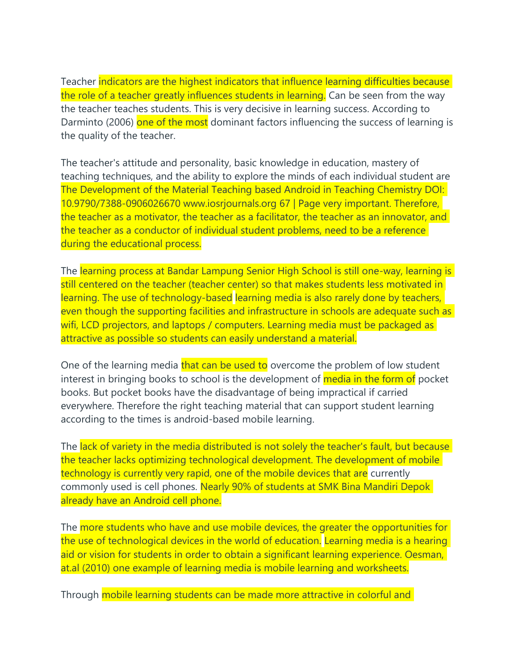Teacher indicators are the highest indicators that influence learning difficulties because the role of a teacher greatly influences students in learning. Can be seen from the way the teacher teaches students. This is very decisive in learning success. According to Darminto (2006) one of the most dominant factors influencing the success of learning is the quality of the teacher.

The teacher's attitude and personality, basic knowledge in education, mastery of teaching techniques, and the ability to explore the minds of each individual student are The Development of the Material Teaching based Android in Teaching Chemistry DOI: 10.9790/7388-0906026670 www.iosrjournals.org 67 | Page very important. Therefore, the teacher as a motivator, the teacher as a facilitator, the teacher as an innovator, and the teacher as a conductor of individual student problems, need to be a reference during the educational process.

The learning process at Bandar Lampung Senior High School is still one-way, learning is still centered on the teacher (teacher center) so that makes students less motivated in learning. The use of technology-based learning media is also rarely done by teachers, even though the supporting facilities and infrastructure in schools are adequate such as wifi, LCD projectors, and laptops / computers. Learning media must be packaged as attractive as possible so students can easily understand a material.

One of the learning media that can be used to overcome the problem of low student interest in bringing books to school is the development of **media in the form of** pocket books. But pocket books have the disadvantage of being impractical if carried everywhere. Therefore the right teaching material that can support student learning according to the times is android-based mobile learning.

The lack of variety in the media distributed is not solely the teacher's fault, but because the teacher lacks optimizing technological development. The development of mobile technology is currently very rapid, one of the mobile devices that are currently commonly used is cell phones. Nearly 90% of students at SMK Bina Mandiri Depok already have an Android cell phone.

The more students who have and use mobile devices, the greater the opportunities for the use of technological devices in the world of education. Learning media is a hearing aid or vision for students in order to obtain a significant learning experience. Oesman, at.al (2010) one example of learning media is mobile learning and worksheets.

Through mobile learning students can be made more attractive in colorful and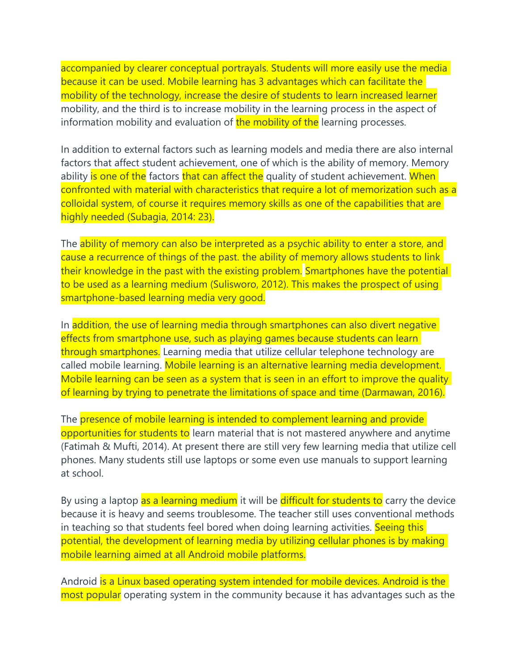accompanied by clearer conceptual portrayals. Students will more easily use the media because it can be used. Mobile learning has 3 advantages which can facilitate the mobility of the technology, increase the desire of students to learn increased learner mobility, and the third is to increase mobility in the learning process in the aspect of information mobility and evaluation of the mobility of the learning processes.

In addition to external factors such as learning models and media there are also internal factors that affect student achievement, one of which is the ability of memory. Memory ability is one of the factors that can affect the quality of student achievement. When confronted with material with characteristics that require a lot of memorization such as a colloidal system, of course it requires memory skills as one of the capabilities that are highly needed (Subagia, 2014: 23).

The ability of memory can also be interpreted as a psychic ability to enter a store, and cause a recurrence of things of the past. the ability of memory allows students to link their knowledge in the past with the existing problem. Smartphones have the potential to be used as a learning medium (Sulisworo, 2012). This makes the prospect of using smartphone-based learning media very good.

In addition, the use of learning media through smartphones can also divert negative effects from smartphone use, such as playing games because students can learn through smartphones. Learning media that utilize cellular telephone technology are called mobile learning. Mobile learning is an alternative learning media development. Mobile learning can be seen as a system that is seen in an effort to improve the quality of learning by trying to penetrate the limitations of space and time (Darmawan, 2016).

The presence of mobile learning is intended to complement learning and provide opportunities for students to learn material that is not mastered anywhere and anytime (Fatimah & Mufti, 2014). At present there are still very few learning media that utilize cell phones. Many students still use laptops or some even use manuals to support learning at school.

By using a laptop as a learning medium it will be difficult for students to carry the device because it is heavy and seems troublesome. The teacher still uses conventional methods in teaching so that students feel bored when doing learning activities. Seeing this potential, the development of learning media by utilizing cellular phones is by making mobile learning aimed at all Android mobile platforms.

Android is a Linux based operating system intended for mobile devices. Android is the most popular operating system in the community because it has advantages such as the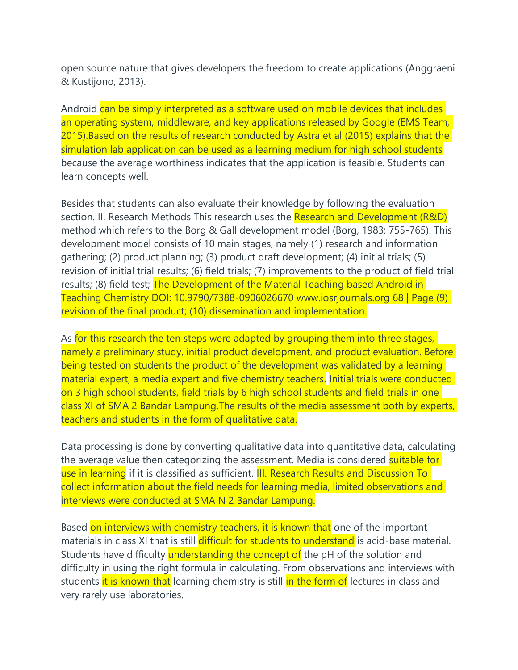open source nature that gives developers the freedom to create applications (Anggraeni & Kustijono, 2013).

Android can be simply interpreted as a software used on mobile devices that includes an operating system, middleware, and key applications released by Google (EMS Team, 2015).Based on the results of research conducted by Astra et al (2015) explains that the simulation lab application can be used as a learning medium for high school students because the average worthiness indicates that the application is feasible. Students can learn concepts well.

Besides that students can also evaluate their knowledge by following the evaluation section. II. Research Methods This research uses the Research and Development (R&D) method which refers to the Borg & Gall development model (Borg, 1983: 755-765). This development model consists of 10 main stages, namely (1) research and information gathering; (2) product planning; (3) product draft development; (4) initial trials; (5) revision of initial trial results; (6) field trials; (7) improvements to the product of field trial results; (8) field test; **The Development of the Material Teaching based Android in** Teaching Chemistry DOI: 10.9790/7388-0906026670 www.iosrjournals.org 68 | Page (9) revision of the final product; (10) dissemination and implementation.

As for this research the ten steps were adapted by grouping them into three stages, namely a preliminary study, initial product development, and product evaluation. Before being tested on students the product of the development was validated by a learning material expert, a media expert and five chemistry teachers. Initial trials were conducted on 3 high school students, field trials by 6 high school students and field trials in one class XI of SMA 2 Bandar Lampung.The results of the media assessment both by experts, teachers and students in the form of qualitative data.

Data processing is done by converting qualitative data into quantitative data, calculating the average value then categorizing the assessment. Media is considered **suitable for** use in learning if it is classified as sufficient. **III. Research Results and Discussion To** collect information about the field needs for learning media, limited observations and interviews were conducted at SMA N 2 Bandar Lampung.

Based on interviews with chemistry teachers, it is known that one of the important materials in class XI that is still difficult for students to understand is acid-base material. Students have difficulty understanding the concept of the pH of the solution and difficulty in using the right formula in calculating. From observations and interviews with students it is known that learning chemistry is still in the form of lectures in class and very rarely use laboratories.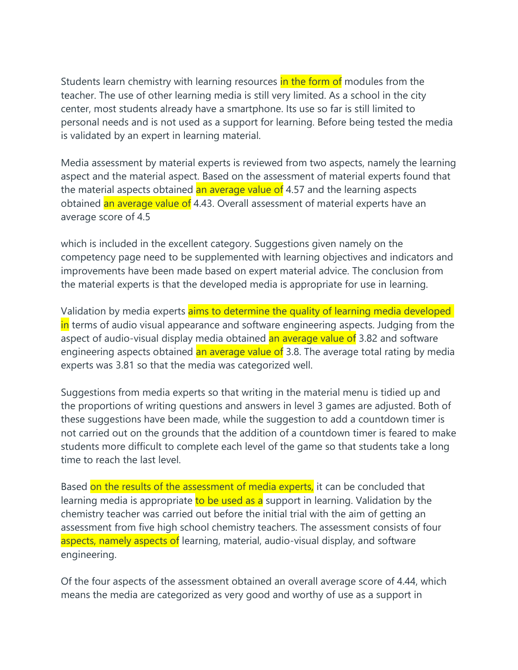Students learn chemistry with learning resources in the form of modules from the teacher. The use of other learning media is still very limited. As a school in the city center, most students already have a smartphone. Its use so far is still limited to personal needs and is not used as a support for learning. Before being tested the media is validated by an expert in learning material.

Media assessment by material experts is reviewed from two aspects, namely the learning aspect and the material aspect. Based on the assessment of material experts found that the material aspects obtained an average value of 4.57 and the learning aspects obtained an average value of 4.43. Overall assessment of material experts have an average score of 4.5

which is included in the excellent category. Suggestions given namely on the competency page need to be supplemented with learning objectives and indicators and improvements have been made based on expert material advice. The conclusion from the material experts is that the developed media is appropriate for use in learning.

Validation by media experts aims to determine the quality of learning media developed in terms of audio visual appearance and software engineering aspects. Judging from the aspect of audio-visual display media obtained an average value of 3.82 and software engineering aspects obtained an average value of 3.8. The average total rating by media experts was 3.81 so that the media was categorized well.

Suggestions from media experts so that writing in the material menu is tidied up and the proportions of writing questions and answers in level 3 games are adjusted. Both of these suggestions have been made, while the suggestion to add a countdown timer is not carried out on the grounds that the addition of a countdown timer is feared to make students more difficult to complete each level of the game so that students take a long time to reach the last level.

Based on the results of the assessment of media experts, it can be concluded that learning media is appropriate to be used as a support in learning. Validation by the chemistry teacher was carried out before the initial trial with the aim of getting an assessment from five high school chemistry teachers. The assessment consists of four aspects, namely aspects of learning, material, audio-visual display, and software engineering.

Of the four aspects of the assessment obtained an overall average score of 4.44, which means the media are categorized as very good and worthy of use as a support in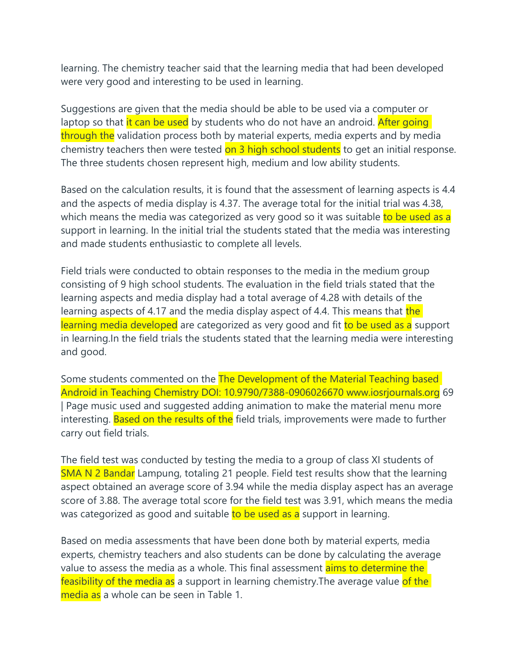learning. The chemistry teacher said that the learning media that had been developed were very good and interesting to be used in learning.

Suggestions are given that the media should be able to be used via a computer or laptop so that it can be used by students who do not have an android. After going through the validation process both by material experts, media experts and by media chemistry teachers then were tested on 3 high school students to get an initial response. The three students chosen represent high, medium and low ability students.

Based on the calculation results, it is found that the assessment of learning aspects is 4.4 and the aspects of media display is 4.37. The average total for the initial trial was 4.38, which means the media was categorized as very good so it was suitable to be used as a support in learning. In the initial trial the students stated that the media was interesting and made students enthusiastic to complete all levels.

Field trials were conducted to obtain responses to the media in the medium group consisting of 9 high school students. The evaluation in the field trials stated that the learning aspects and media display had a total average of 4.28 with details of the learning aspects of 4.17 and the media display aspect of 4.4. This means that the learning media developed are categorized as very good and fit to be used as a support in learning.In the field trials the students stated that the learning media were interesting and good.

Some students commented on the The Development of the Material Teaching based Android in Teaching Chemistry DOI: 10.9790/7388-0906026670 www.iosrjournals.org 69 | Page music used and suggested adding animation to make the material menu more interesting. Based on the results of the field trials, improvements were made to further carry out field trials.

The field test was conducted by testing the media to a group of class XI students of SMA N 2 Bandar Lampung, totaling 21 people. Field test results show that the learning aspect obtained an average score of 3.94 while the media display aspect has an average score of 3.88. The average total score for the field test was 3.91, which means the media was categorized as good and suitable to be used as a support in learning.

Based on media assessments that have been done both by material experts, media experts, chemistry teachers and also students can be done by calculating the average value to assess the media as a whole. This final assessment aims to determine the feasibility of the media as a support in learning chemistry. The average value of the media as a whole can be seen in Table 1.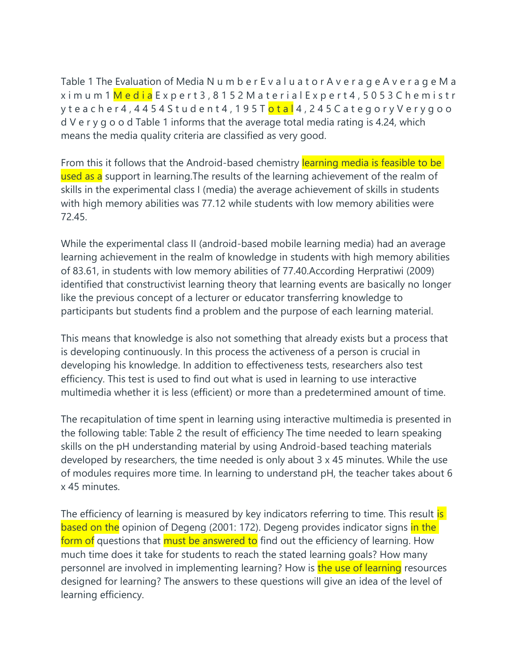Table 1 The Evaluation of Media N u m b e r E v a l u a t o r A v e r a g e A v e r a g e M a x i m u m 1 M e d i a E x p e r t 3 , 8 1 5 2 M a t e r i a l E x p e r t 4 , 5 0 5 3 C h e m i s t r y t e a c h e r 4 , 4 4 5 4 S t u d e n t 4 , 1 9 5 T <mark>o t a l</mark> 4 , 2 4 5 C a t e g o r y V e r y g o o d V e r y g o o d Table 1 informs that the average total media rating is 4.24, which means the media quality criteria are classified as very good.

From this it follows that the Android-based chemistry learning media is feasible to be used as a support in learning. The results of the learning achievement of the realm of skills in the experimental class I (media) the average achievement of skills in students with high memory abilities was 77.12 while students with low memory abilities were 72.45.

While the experimental class II (android-based mobile learning media) had an average learning achievement in the realm of knowledge in students with high memory abilities of 83.61, in students with low memory abilities of 77.40.According Herpratiwi (2009) identified that constructivist learning theory that learning events are basically no longer like the previous concept of a lecturer or educator transferring knowledge to participants but students find a problem and the purpose of each learning material.

This means that knowledge is also not something that already exists but a process that is developing continuously. In this process the activeness of a person is crucial in developing his knowledge. In addition to effectiveness tests, researchers also test efficiency. This test is used to find out what is used in learning to use interactive multimedia whether it is less (efficient) or more than a predetermined amount of time.

The recapitulation of time spent in learning using interactive multimedia is presented in the following table: Table 2 the result of efficiency The time needed to learn speaking skills on the pH understanding material by using Android-based teaching materials developed by researchers, the time needed is only about 3 x 45 minutes. While the use of modules requires more time. In learning to understand pH, the teacher takes about 6 x 45 minutes.

The efficiency of learning is measured by key indicators referring to time. This result is based on the opinion of Degeng (2001: 172). Degeng provides indicator signs in the form of questions that must be answered to find out the efficiency of learning. How much time does it take for students to reach the stated learning goals? How many personnel are involved in implementing learning? How is the use of learning resources designed for learning? The answers to these questions will give an idea of the level of learning efficiency.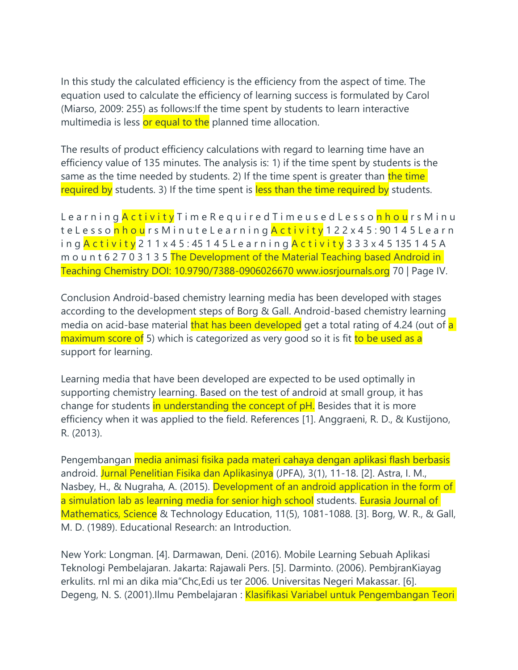In this study the calculated efficiency is the efficiency from the aspect of time. The equation used to calculate the efficiency of learning success is formulated by Carol (Miarso, 2009: 255) as follows:If the time spent by students to learn interactive multimedia is less or equal to the planned time allocation.

The results of product efficiency calculations with regard to learning time have an efficiency value of 135 minutes. The analysis is: 1) if the time spent by students is the same as the time needed by students. 2) If the time spent is greater than the time required by students. 3) If the time spent is less than the time required by students.

L e a r n i n g <mark>A c t i v i t y</mark> T i m e R e q u i r e d T i m e u s e d L e s s o <mark>n h o u</mark> r s M i n u t e L e s s o <mark>n h o u</mark> r s M i n u t e L e a r n i n g <mark>A c t i v i t y</mark> 1 2 2 x 4 5 : 90 1 4 5 L e a r n i n q <mark>A c t i v i t y</mark> 2 1 1 x 4 5 : 45 1 4 5 L e a r n i n g <mark>A c t i v i t y</mark> 3 3 3 x 4 5 135 1 4 5 A m o u n t 6 2 7 0 3 1 3 5 The Development of the Material Teaching based Android in Teaching Chemistry DOI: 10.9790/7388-0906026670 www.iosrjournals.org 70 | Page IV.

Conclusion Android-based chemistry learning media has been developed with stages according to the development steps of Borg & Gall. Android-based chemistry learning media on acid-base material that has been developed get a total rating of 4.24 (out of a maximum score of 5) which is categorized as very good so it is fit to be used as a support for learning.

Learning media that have been developed are expected to be used optimally in supporting chemistry learning. Based on the test of android at small group, it has change for students in understanding the concept of pH. Besides that it is more efficiency when it was applied to the field. References [1]. Anggraeni, R. D., & Kustijono, R. (2013).

Pengembangan media animasi fisika pada materi cahaya dengan aplikasi flash berbasis android. Jurnal Penelitian Fisika dan Aplikasinya (JPFA), 3(1), 11-18. [2]. Astra, I. M., Nasbey, H., & Nugraha, A. (2015). Development of an android application in the form of a simulation lab as learning media for senior high school students. Eurasia Journal of Mathematics, Science & Technology Education, 11(5), 1081-1088. [3]. Borg, W. R., & Gall, M. D. (1989). Educational Research: an Introduction.

New York: Longman. [4]. Darmawan, Deni. (2016). Mobile Learning Sebuah Aplikasi Teknologi Pembelajaran. Jakarta: Rajawali Pers. [5]. Darminto. (2006). PembjranKiayag erkulits. rnl mi an dika mia"Chc,Edi us ter 2006. Universitas Negeri Makassar. [6]. Degeng, N. S. (2001).Ilmu Pembelajaran : Klasifikasi Variabel untuk Pengembangan Teori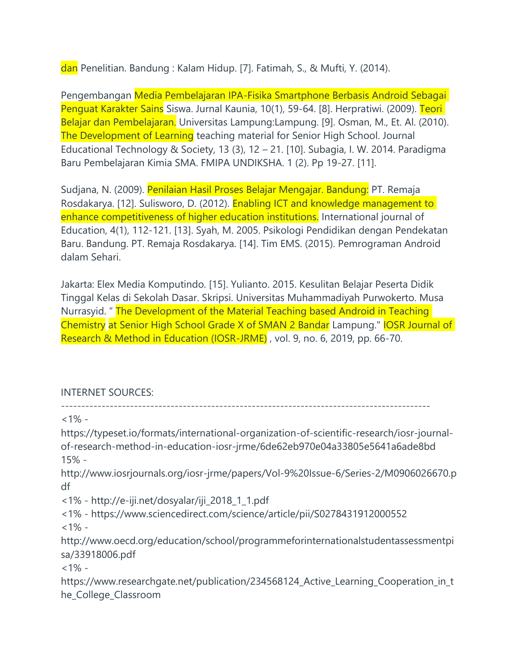dan Penelitian. Bandung : Kalam Hidup. [7]. Fatimah, S., & Mufti, Y. (2014).

Pengembangan Media Pembelajaran IPA-Fisika Smartphone Berbasis Android Sebagai Penguat Karakter Sains Siswa. Jurnal Kaunia, 10(1), 59-64. [8]. Herpratiwi. (2009). Teori Belajar dan Pembelajaran. Universitas Lampung:Lampung. [9]. Osman, M., Et. Al. (2010). The Development of Learning teaching material for Senior High School. Journal Educational Technology & Society, 13 (3), 12 – 21. [10]. Subagia, I. W. 2014. Paradigma Baru Pembelajaran Kimia SMA. FMIPA UNDIKSHA. 1 (2). Pp 19-27. [11].

Sudjana, N. (2009). Penilaian Hasil Proses Belajar Mengajar. Bandung: PT. Remaja Rosdakarya. [12]. Sulisworo, D. (2012). Enabling ICT and knowledge management to enhance competitiveness of higher education institutions. International journal of Education, 4(1), 112-121. [13]. Syah, M. 2005. Psikologi Pendidikan dengan Pendekatan Baru. Bandung. PT. Remaja Rosdakarya. [14]. Tim EMS. (2015). Pemrograman Android dalam Sehari.

Jakarta: Elex Media Komputindo. [15]. Yulianto. 2015. Kesulitan Belajar Peserta Didik Tinggal Kelas di Sekolah Dasar. Skripsi. Universitas Muhammadiyah Purwokerto. Musa Nurrasyid. " The Development of the Material Teaching based Android in Teaching Chemistry at Senior High School Grade X of SMAN 2 Bandar Lampung." IOSR Journal of Research & Method in Education (IOSR-JRME) , vol. 9, no. 6, 2019, pp. 66-70.

## INTERNET SOURCES:

 $<1\%$  -

-------------------------------------------------------------------------------------------

https://typeset.io/formats/international-organization-of-scientific-research/iosr-journalof-research-method-in-education-iosr-jrme/6de62eb970e04a33805e5641a6ade8bd 15% http://www.iosrjournals.org/iosr-jrme/papers/Vol-9%20Issue-6/Series-2/M0906026670.p df <1% - http://e-iji.net/dosyalar/iji\_2018\_1\_1.pdf <1% - https://www.sciencedirect.com/science/article/pii/S0278431912000552  $<1\%$  http://www.oecd.org/education/school/programmeforinternationalstudentassessmentpi sa/33918006.pdf  $<1\%$  https://www.researchgate.net/publication/234568124\_Active\_Learning\_Cooperation\_in\_t he\_College\_Classroom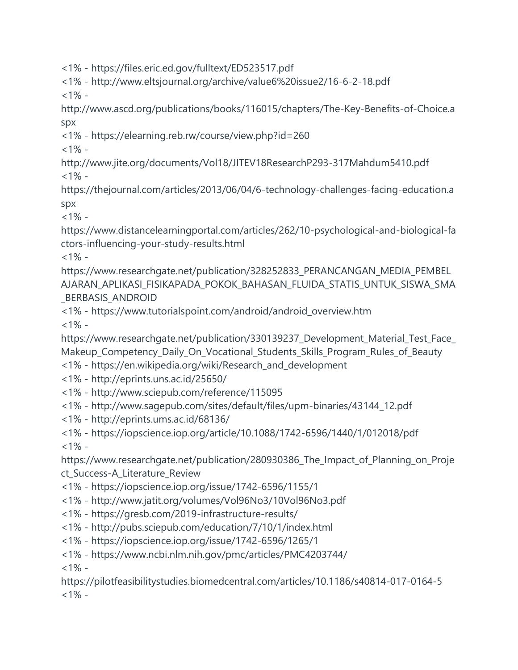<1% - https://files.eric.ed.gov/fulltext/ED523517.pdf

<1% - http://www.eltsjournal.org/archive/value6%20issue2/16-6-2-18.pdf  $<1\%$  -

http://www.ascd.org/publications/books/116015/chapters/The-Key-Benefits-of-Choice.a spx

<1% - https://elearning.reb.rw/course/view.php?id=260

 $<1\%$  -

http://www.jite.org/documents/Vol18/JITEV18ResearchP293-317Mahdum5410.pdf  $<1\%$  -

https://thejournal.com/articles/2013/06/04/6-technology-challenges-facing-education.a spx

 $<1\%$  -

https://www.distancelearningportal.com/articles/262/10-psychological-and-biological-fa ctors-influencing-your-study-results.html

 $<1\%$  -

https://www.researchgate.net/publication/328252833\_PERANCANGAN\_MEDIA\_PEMBEL AJARAN\_APLIKASI\_FISIKAPADA\_POKOK\_BAHASAN\_FLUIDA\_STATIS\_UNTUK\_SISWA\_SMA \_BERBASIS\_ANDROID

<1% - https://www.tutorialspoint.com/android/android\_overview.htm  $<1\%$  -

https://www.researchgate.net/publication/330139237\_Development\_Material\_Test\_Face\_ Makeup\_Competency\_Daily\_On\_Vocational\_Students\_Skills\_Program\_Rules\_of\_Beauty

- <1% https://en.wikipedia.org/wiki/Research\_and\_development
- <1% http://eprints.uns.ac.id/25650/
- <1% http://www.sciepub.com/reference/115095
- <1% http://www.sagepub.com/sites/default/files/upm-binaries/43144\_12.pdf
- <1% http://eprints.ums.ac.id/68136/

<1% - https://iopscience.iop.org/article/10.1088/1742-6596/1440/1/012018/pdf  $<1\%$  -

https://www.researchgate.net/publication/280930386\_The\_Impact\_of\_Planning\_on\_Proje ct\_Success-A\_Literature\_Review

<1% - https://iopscience.iop.org/issue/1742-6596/1155/1

<1% - http://www.jatit.org/volumes/Vol96No3/10Vol96No3.pdf

- <1% https://gresb.com/2019-infrastructure-results/
- <1% http://pubs.sciepub.com/education/7/10/1/index.html
- <1% https://iopscience.iop.org/issue/1742-6596/1265/1
- <1% https://www.ncbi.nlm.nih.gov/pmc/articles/PMC4203744/

 $<1\%$  -

https://pilotfeasibilitystudies.biomedcentral.com/articles/10.1186/s40814-017-0164-5  $<1\%$  -